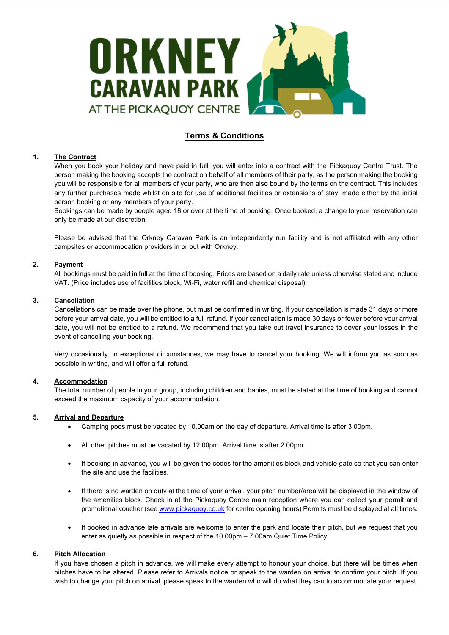

# **Terms & Conditions**

## **1. The Contract**

When you book your holiday and have paid in full, you will enter into a contract with the Pickaquoy Centre Trust. The person making the booking accepts the contract on behalf of all members of their party, as the person making the booking you will be responsible for all members of your party, who are then also bound by the terms on the contract. This includes any further purchases made whilst on site for use of additional facilities or extensions of stay, made either by the initial person booking or any members of your party.

Bookings can be made by people aged 18 or over at the time of booking. Once booked, a change to your reservation can only be made at our discretion

Please be advised that the Orkney Caravan Park is an independently run facility and is not affiliated with any other campsites or accommodation providers in or out with Orkney.

# **2. Payment**

All bookings must be paid in full at the time of booking. Prices are based on a daily rate unless otherwise stated and include VAT. (Price includes use of facilities block, Wi-Fi, water refill and chemical disposal)

## **3. Cancellation**

Cancellations can be made over the phone, but must be confirmed in writing. If your cancellation is made 31 days or more before your arrival date, you will be entitled to a full refund. If your cancellation is made 30 days or fewer before your arrival date, you will not be entitled to a refund. We recommend that you take out travel insurance to cover your losses in the event of cancelling your booking.

Very occasionally, in exceptional circumstances, we may have to cancel your booking. We will inform you as soon as possible in writing, and will offer a full refund.

# **4. Accommodation**

The total number of people in your group, including children and babies, must be stated at the time of booking and cannot exceed the maximum capacity of your accommodation.

## **5. Arrival and Departure**

- Camping pods must be vacated by 10.00am on the day of departure. Arrival time is after 3.00pm.
- All other pitches must be vacated by 12.00pm. Arrival time is after 2.00pm.
- If booking in advance, you will be given the codes for the amenities block and vehicle gate so that you can enter the site and use the facilities.
- If there is no warden on duty at the time of your arrival, your pitch number/area will be displayed in the window of the amenities block. Check in at the Pickaquoy Centre main reception where you can collect your permit and promotional voucher (se[e www.pickaquoy.co.uk](http://www.pickaquoy.co.uk/) for centre opening hours) Permits must be displayed at all times.
- If booked in advance late arrivals are welcome to enter the park and locate their pitch, but we request that you enter as quietly as possible in respect of the 10.00pm – 7.00am Quiet Time Policy.

## **6. Pitch Allocation**

If you have chosen a pitch in advance, we will make every attempt to honour your choice, but there will be times when pitches have to be altered. Please refer to Arrivals notice or speak to the warden on arrival to confirm your pitch. If you wish to change your pitch on arrival, please speak to the warden who will do what they can to accommodate your request.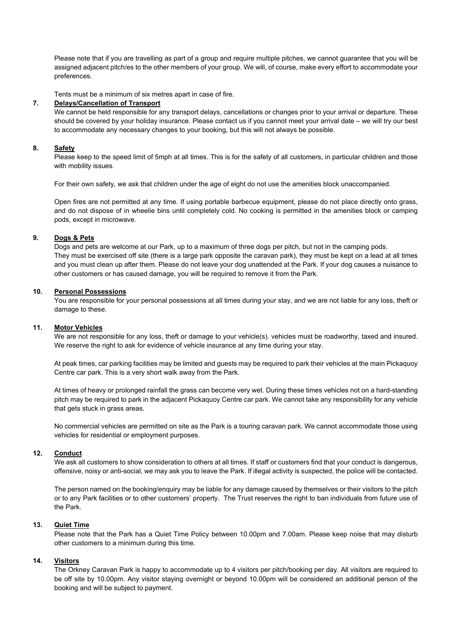Please note that if you are travelling as part of a group and require multiple pitches, we cannot guarantee that you will be assigned adjacent pitch/es to the other members of your group. We will, of course, make every effort to accommodate your preferences.

Tents must be a minimum of six metres apart in case of fire.

#### **7. Delays/Cancellation of Transport**

We cannot be held responsible for any transport delays, cancellations or changes prior to your arrival or departure. These should be covered by your holiday insurance. Please contact us if you cannot meet your arrival date – we will try our best to accommodate any necessary changes to your booking, but this will not always be possible.

## **8. Safety**

Please keep to the speed limit of 5mph at all times. This is for the safety of all customers, in particular children and those with mobility issues.

For their own safety, we ask that children under the age of eight do not use the amenities block unaccompanied.

Open fires are not permitted at any time. If using portable barbecue equipment, please do not place directly onto grass, and do not dispose of in wheelie bins until completely cold. No cooking is permitted in the amenities block or camping pods, except in microwave.

# **9. Dogs & Pets**

Dogs and pets are welcome at our Park, up to a maximum of three dogs per pitch, but not in the camping pods. They must be exercised off site (there is a large park opposite the caravan park), they must be kept on a lead at all times and you must clean up after them. Please do not leave your dog unattended at the Park. If your dog causes a nuisance to other customers or has caused damage, you will be required to remove it from the Park.

#### **10. Personal Possessions**

You are responsible for your personal possessions at all times during your stay, and we are not liable for any loss, theft or damage to these.

#### **11. Motor Vehicles**

We are not responsible for any loss, theft or damage to your vehicle(s), vehicles must be roadworthy, taxed and insured. We reserve the right to ask for evidence of vehicle insurance at any time during your stay.

At peak times, car parking facilities may be limited and guests may be required to park their vehicles at the main Pickaquoy Centre car park. This is a very short walk away from the Park.

At times of heavy or prolonged rainfall the grass can become very wet. During these times vehicles not on a hard-standing pitch may be required to park in the adjacent Pickaquoy Centre car park. We cannot take any responsibility for any vehicle that gets stuck in grass areas.

No commercial vehicles are permitted on site as the Park is a touring caravan park. We cannot accommodate those using vehicles for residential or employment purposes.

## **12. Conduct**

We ask all customers to show consideration to others at all times. If staff or customers find that your conduct is dangerous, offensive, noisy or anti-social, we may ask you to leave the Park. If illegal activity is suspected, the police will be contacted.

The person named on the booking/enquiry may be liable for any damage caused by themselves or their visitors to the pitch or to any Park facilities or to other customers' property. The Trust reserves the right to ban individuals from future use of the Park.

### **13. Quiet Time**

Please note that the Park has a Quiet Time Policy between 10.00pm and 7.00am. Please keep noise that may disturb other customers to a minimum during this time.

## **14. Visitors**

The Orkney Caravan Park is happy to accommodate up to 4 visitors per pitch/booking per day. All visitors are required to be off site by 10.00pm. Any visitor staying overnight or beyond 10.00pm will be considered an additional person of the booking and will be subject to payment.